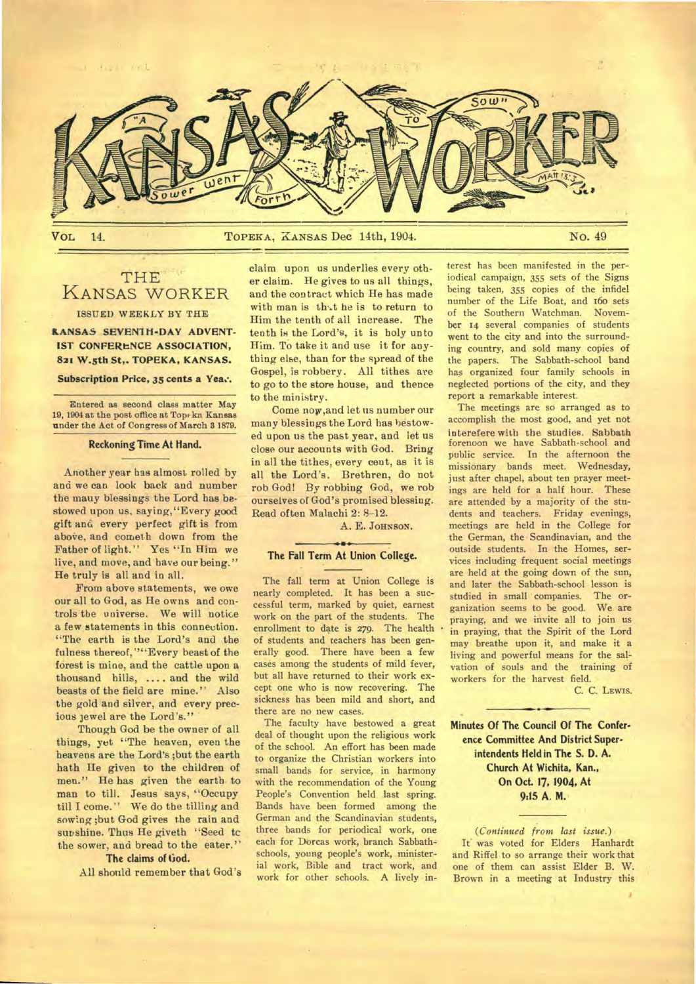

THE KANSAS WORKER ISSUED WEEKLY BY THE

**KANSAS SEVEN1H-DAY ADVENT-IST CONFERENCE ASSOCIATION,** 

**821 W.5th St,. TOPEKA, KANSAS. Subscription Price, 35 cents a Yea:.** 

Entered as second class matter May 19, 1904 at the post office at Top ka Kansas

under the Act of Congress of March 3 1879. **Reckoning Time At Hand.** 

Another year has almost rolled by and we can look back and number the mauy blessings the Lord has bestowed upon us, saying,"Every good gift and every perfect gift is from above, and cometh down from the Father of light." Yes "In Him we live, and move, and have our being." He truly is all and in all.

From above statements, we owe our all to God, as He owns and controls the universe. We will notice a few statements in this connection. "The earth is the Lord's and the fulness thereof, ""Every beast of the forest is mine, and the cattle upon a thousand hills, .... and the wild beasts of the field are mine." Also the gold and silver, and every precious jewel are the Lord's."

Though God be the owner of all things, yet "The heaven, even the heavens are the Lord's ;but the earth hath He given to the children of men." He has given the earth to man to till. Jesus says, "Occupy till I come." We do the tilling and sowing ;but God gives the rain and sunshine. Thus He giveth "Seed tc the sower, and bread to the eater."

## The claims of God.

All should remember that God's

claim upon us underlies every other claim. He gives to us all things, and the contract which He has made with man is that he is to return to Him the tenth of all increase. The tenth is the Lord's, it is holy unto Him. To take it and use it for anything else, than for the spread of the Gospel, is robbery. All tithes are to go to the store house, and thence to the ministry.

Come now,and let us number our many blessings the Lord has bestowed upon us the past year, and let us close our accounts with God. Bring in all the tithes, every cent, as it is all the Lord's. Brethren, do not rob God! By robbing God, we rob ourselves of God's promised blessing. Read often Malachi 2: 8-12.

A. E. JOHNSON.

#### $\rightarrow$ **The Fall Term At Union College.**

The fall term at Union College is nearly completed. It has been a successful term, marked by quiet, earnest work on the part of the students. The enrollment to date is 279. The health of students and teachers has been generally good. There have been a few cases among the students of mild fever, but all have returned to their work except one who is now recovering. The sickness has been mild and short, and there are no new cases.

The faculty have bestowed a great deal of thought upon the religious work of the school. An effort has been made to organize the Christian workers into small bands for service, in harmony with the recommendation of the Young People's Convention held last spring. Bands have been formed among the German and the Scandinavian students, three bands for periodical work, one each for Dorcas work, branch Sabbathschools, young people's work, ministerial work, Bible and tract work, and work for other schools. A lively interest has been manifested in the periodical campaign, 355 sets of the Signs being taken, 355 copies of the infidel number of the Life Boat, and ifoo sets of the Southern Watchman. November 14 several companies of students went to the city and into the surrounding country, and sold many copies of the papers. The Sabbath-school band has organized four family schools in neglected portions of the city, and they report a remarkable interest.

The meetings are so arranged as to accomplish the most good, and yet not interefere with the studies. Sabbath forenoon we have Sabbath-school and public service. In the afternoon the missionary bands meet. Wednesday, just after chapel, about ten prayer meetings are held for a half hour. These are attended by a majority of the students and teachers. Friday evenings, meetings are held in the College for the German, the Scandinavian, and the outside students. In the Homes, services including frequent social meetings are held at the going down of the sun, and later the Sabbath-school lesson is<br>studied in small companies. The orstudied in small companies. ganization seems to be good. We are praying, and we invite all to join us in praying, that the Spirit of the Lord may breathe upon it, and make it a living and powerful means for the salvation of souls and the training of workers for the harvest field.

C. C. LEWIS.

**Minutes Of The Council Of The Conference Committee And District Superintendents Held in The S. D. A. Church At Wichita, Kan., On Oct. 17, 1904, At 9:15 A. M.** 

**•** 

*(Continued from last issue.)*  It was voted for Elders Hanhardt and Riffel to so arrange their work that one of them can assist Elder B. W. Brown in a meeting at Industry this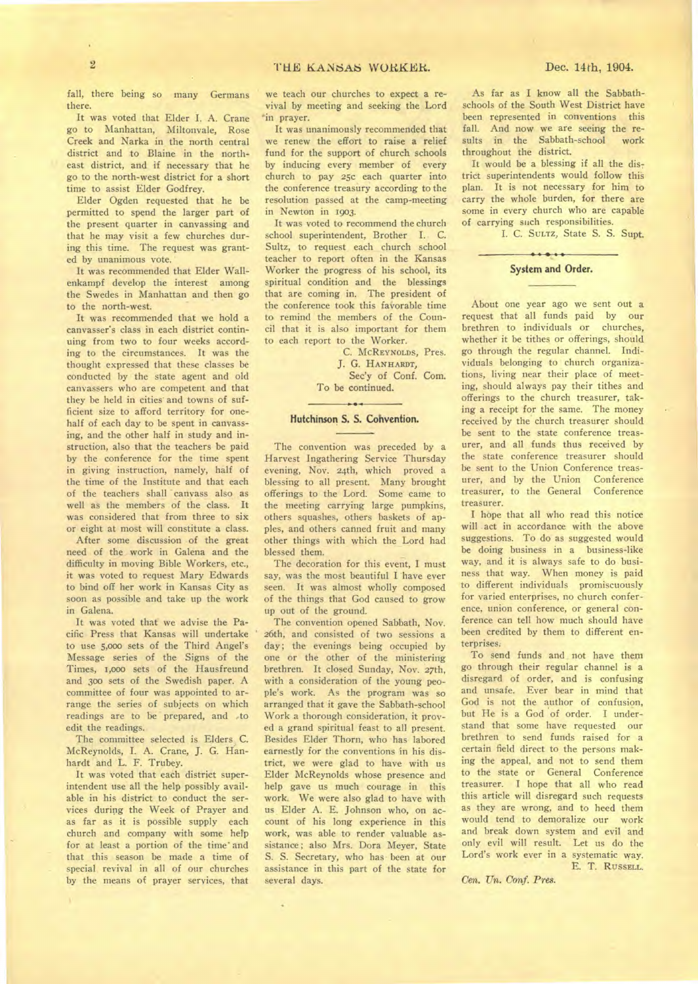fall, there being so many Germans there.

It was voted that Elder I. A. Crane go to Manhattan, Miltonvale, Rose Creek and Narka in the north central district and to Blaine in the northeast district, and if necessary that he go to the north-west district for a short time to assist Elder Godfrey.

Elder Ogden requested that he be permitted to spend the larger part of the present quarter in canvassing and that he may visit a few churches during this time. The request was granted by unanimous vote.

It was recommended that Elder Wallenkampf develop the interest among the Swedes in Manhattan and then go to the north-west.

It was recommended that we hold a canvasser's class in each district continuing from two to four weeks according to the circumstances. It was the thought expressed that these classes be conducted by the state agent and old canvassers who are competent and that they be held in cities and towns of sufficient size to afford territory for onehalf of each day to be spent in canvassing, and the other half in study and instruction, also that the teachers be paid by the conference for the time spent in giving instruction, namely, half of the time of the Institute and that each of the teachers shall canvass also as well as the members of the class. It was considered that from three to six or eight at most will constitute a class.

After some discussion of the great need of the work in Galena and the difficulty in moving Bible Workers, etc., it was voted to request Mary Edwards to bind off her work in Kansas City as soon as possible and take up the work in Galena.

It was voted that we advise the Pacific Press that Kansas will undertake to use 5,00o sets of the Third Angel's Message series of the Signs of the Times, t,000 sets of the Hausfreund and 300 sets of the Swedish paper. A committee of four was appointed to arrange the series of subjects on which readings are to be prepared, and ,to edit the readings.

The committee selected is Elders C. McReynolds, I. A. Crane, J. G. Hanhardt and L. F. Trubey.

It was voted that each district superintendent use all the help possibly available in his district to conduct the services during the Week of Prayer and as far as it is possible supply each church and company with some help for at least a portion of the time' and that this season be made a time of special revival in all of our churches by the means of prayer services, that

we teach our churches to expect a revival by meeting and seeking the Lord 'in prayer.

It was unanimously recommended that we renew the effort to raise a relief fund for the support of church schools by inducing every member of every church to pay 25c each quarter into the conference treasury according to the resolution passed at the camp-meeting in Newton in 1903.

It was voted to recommend the church school superintendent, Brother I. C. Sultz, to request each church school teacher to report often in the Kansas Worker the progress of his school, its spiritual condition and the blessings that are coming in. The president of the conference took this faVorable time to remind the members of the Council that it is also important for them to each report to the Worker.

> C. **MCREYNOLDS,** Pres. J. G. **HANHARDT,**  Sec'y of Conf. Com. To be continued.

## $\rightarrow$ Hutchinson S. S. Convention.

The convention was preceded by a Harvest Ingathering Service Thursday evening, Nov. 24th, which proved a blessing to all present. Many brought offerings to the Lord. Some came to the meeting carrying large pumpkins, others squashes, others baskets of apples, and others canned fruit and many other things with which the Lord had blessed them.

The decoration for this event, I must say, was the most beautiful I have ever seen. It was almost wholly composed of the things that God caused to grow up out of the ground.

The convention opened Sabbath, Nov. 26th, and consisted of two sessions a day; the evenings being occupied by one or the other of the ministering brethren. It closed Sunday, Nov. **27th,**  with a consideration of the young people's work. As the program was so arranged that it gave the Sabbath-school Work a thorough consideration, it proved a grand spiritual feast to all present. Besides Elder Thorn, who has labored earnestly for the conventions in his district, we were glad to have with us Elder McReynolds whose presence and help gave us much courage in this work. We were also glad to have with us Elder A. E. Johnson who, on account of his long experience in this work, was able to render valuable assistance; also Mrs. Dora Meyer, State S. S. Secretary, who has been at our assistance in this part of the state for several days.

As far as I know all the Sabbathschools of the South West District have been represented in conventions this fall. And now we are seeing the re-<br>sults in the Sabbath-school work sults in the Sabbath-school throughout the district.

It would be a blessing if all the district superintendents would follow this plan. It is not necessary for him to carry the whole burden, for there are some in every church who are capable of carrying such responsibilities.

I. C. **SULTZ,** State S. S. Supt.

## $.........$ **System and Order.**

About one year ago we sent out a request that all funds paid by our brethren to individuals or churches, whether it be tithes or offerings, should go through the regular channel. Individuals belonging to church organizations, living near their place of meeting, should always pay their tithes and offerings to the church treasurer, taking a receipt for the same. The money received by the church treasurer should be sent to the state conference treasurer, and all funds thus received by the state conference treasurer should be sent to the Union Conference treas-<br>urer, and by the Union Conference urer, and by the Union treasurer, to the General Conference treasurer.

I hope that all who read this notice will act in accordance with the above suggestions. To do as suggested would be doing business in a business-like way, and it is always safe to do business that way. When money is paid to different individuals promiscuously for varied enterprises, no church conference, union conference, or general conference can tell how much should have been credited by them to different enterprises.

To send funds and not have them go through their regular channel is a disregard of order, and is confusing and unsafe. Ever bear in mind that God is not the author of confusion, but He is a God of order. I understand that some have requested our brethren to send funds raised for a certain field direct to the persons making the appeal, and not to send them to the state or General Conference treasurer. I hope that all who read this article will disregard such requests as they are wrong, and to heed them would tend to demoralize our work and break down system and evil and only evil will result. Let us do the Lord's work ever in a systematic way. E. T. **RUSSELL.** 

*Cen. Un. Conf. Pres.* 

¥.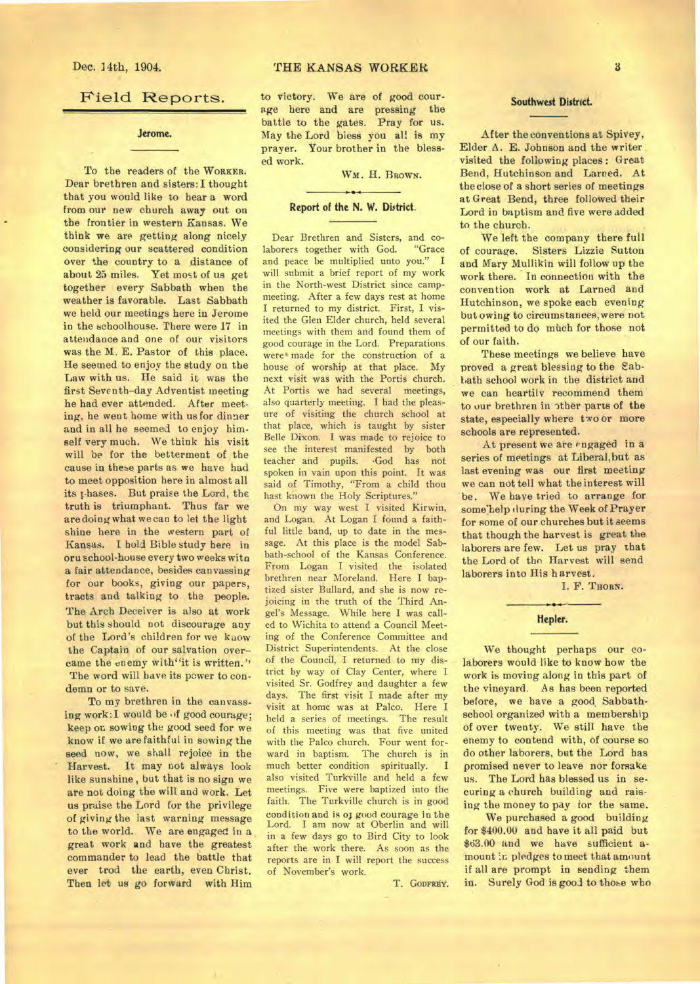## Field Reports.

**Jerome.** 

To the readers of the **WORKER.**  Dear brethren and sisters: I thought that you would like to hear a word from our new church away out on the frontier in western Kansas. We think we are getting along nicely considering our scattered condition over the country to a distance of about 25 miles. Yet most of us get together every Sabbath when the weather is favorable. Last Sabbath we held our meetings here in Jerome in the schoolhouse. There were 17 in attendance and one of our visitors was the M. E. Pastor of this place. He seemed to enjoy the study on the Law with us. He said it was the first Seventh-day Adventist meeting he had ever attended. After meeting, he went home with us for dinner and in all he seemed to enjoy himself very much. We think his visit will be for the betterment of the cause in these parts as we have had to meet opposition here in almost all its phases. But praise the Lord, the truth is triumphant. Thus far we are doing what we can to let the light shine here in the western part of Kansas. I hold Bible study here in oru school-house every two weeks witn a fair attendance, besides canvassing for our books, giving our papers, tracts and talking to the people. The Arch Deceiver is also at work but this should not discourage any of the Lord's children for we know the Captain of our salvation overcame the enemy with"it is written." The word will have its power to condemn or to save.

To my brethren in the canvassing work: I would be of good courage; keep on sowing the good seed for we know if we are faithful in sowing the seed now, we shall rejoice in the Harvest. It may not always look like sunshine, but that is no sign we are not doing the will and work. Let us praise the Lord for the privilege of giving the last warning message to the world. We are engaged in a great work and have the greatest commander to lead the battle that ever trod the earth, even Christ. Then let us go forward with Him to victory. We are of good courage here and are pressing the battle to the gates. Pray for us. May the Lord bless you all is my prayer. Your brother in the blessed work.

WM. H. BROWN.

 $...$ 

## **Report of the N. W. District.**

Dear Brethren and Sisters, and colaborers together with God. "Grace and peace be multiplied unto you." I will submit a brief report of my work in the North-west District since campmeeting. After a few days rest at home I returned to my district. First, I visited the Glen Elder church, held several meetings with them and found them of good courage in the Lord. Preparations were made for the construction of a house of worship at that place. My next visit was with the Portis church. At Portis we had several meetings, also quarterly meeting. I had the pleasure of visiting the church school at that place, which is taught by sister Belle Dixon. I was made to rejoice to see the interest manifested by both teacher and pupils. .God has not spoken in vain upon this point. It was said of Timothy, "From a child thou hast known the Holy Scriptures."

On my way west I visited Kirwin, and Logan. At Logan I found a faithful little band, up to date in the message. At this place is the model Sabbath-school of the Kansas Conference. From Logan I visited the isolated brethren near Moreland. Here I baptized sister Bullard, and she is now rejoicing in the truth of the Third Angel's Message. While here I was called to Wichita to attend a Council Meeting of the Conference Committee and District Superintendents. At the close of the Council, I returned to my district by way of Clay Center, where I visited Sr. Godfrey and daughter a few days. The first visit I made after my visit at home was at Palco. Here I held a series of meetings. The result of this meeting was that five united with the Palco church. Four went forward in baptism. The church is in much better condition spiritually. I also visited Turkville and held a few meetings. Five were baptized into the faith. The Turkville church is in good condition and is of good courage in the Lord. I am now at Oberlin and will in a few days go to Bird City to look after the work there. As soon as the reports are in I will report the success of November's work.

T. GODFREY.

## **Southwest District.**

After the conventions at Spivey, Elder A. E. Johnson and the writer visited the following places : Great Bend, Hutchinson and Lamed. At the close of a short series of meetings at Great Bend, three followed their Lord in baptism and five were added to the church.

We left the company there full of courage. Sisters Lizzie Sutton and Mary Mullikin will follow up the work there. In connection with the convention work at Larned and Hutchinson, we spoke each evening but owing to circumstances,were not permitted to do much for those not of our faith.

These meetings we believe have proved a great blessing to the Sabbath school work in the district and we can heartily recommend them to our brethren in other parts of the state, especially where two or more schools are represented.

At present we are engaged in a series of meetings at Liberal,but as last evening was our first meeting we can not tell what the interest will be. We have tried to arrange for some'help (luring the Week of Prayer for some of our churches but it seems that though the harvest is great the laborers are few. Let us pray that the Lord of the Harvest will send laborers into His harvest.

I. F. THORN.

# Hepler.

We thought perhaps our colaborers would like to know how the work is moving along in this part of the vineyard. As has been reported before, we have a good Sabbathschool organized with a membership of over twenty. We still have the enemy to contend with, of course so do other laborers, but the Lord has promised never to leave nor forsake us. The Lord has blessed us in securing a church building and raising the money to pay tor the same.

We purchased a good building for \$400.00 and have it all paid but \$63.00 and we have sufficient amount in pledges to meet that amount if all are prompt in sending them in. Surely God is good to those who